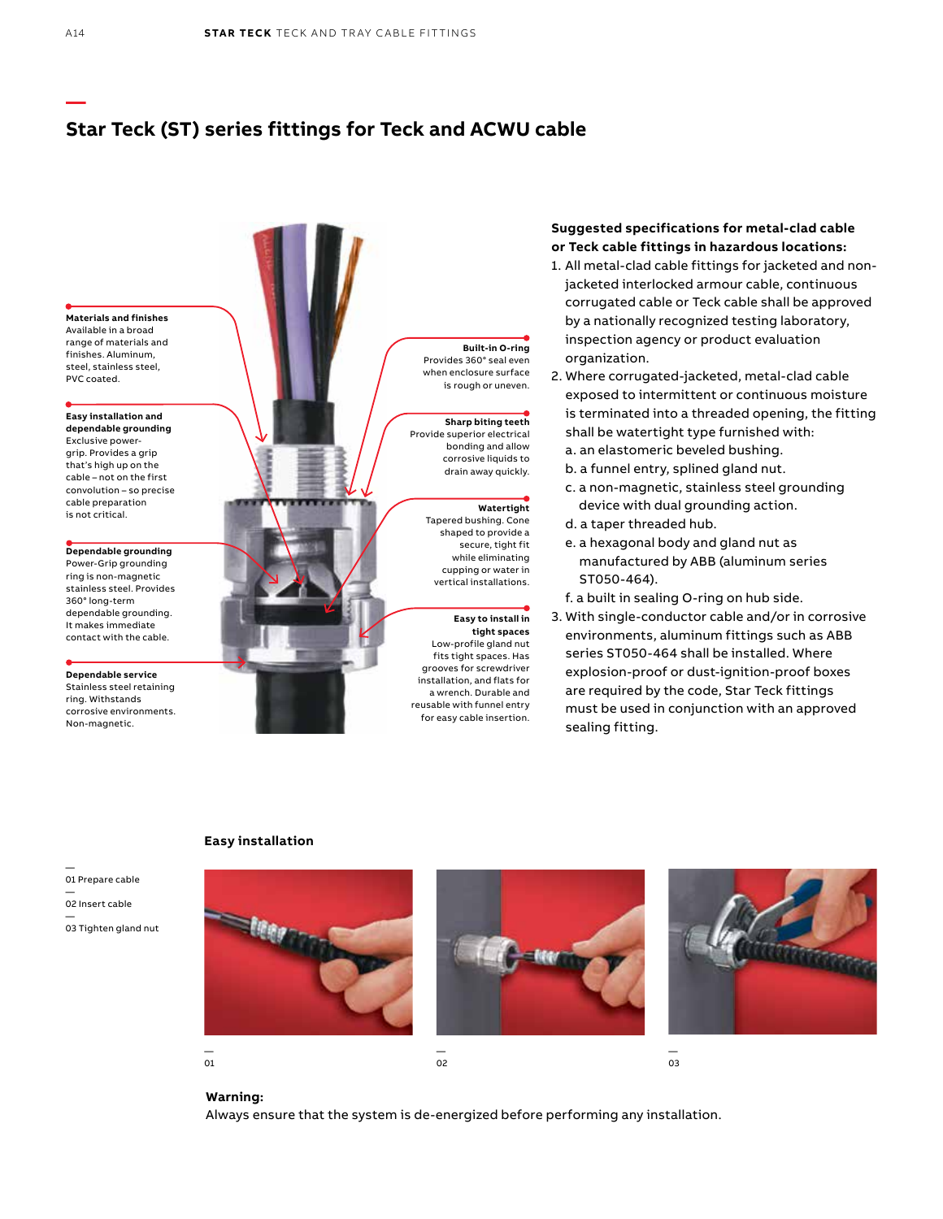# **Star Teck (ST) series fittings for Teck and ACWU cable**



### **Suggested specifications for metal-clad cable or Teck cable fittings in hazardous locations:**

- 1. All metal-clad cable fittings for jacketed and nonjacketed interlocked armour cable, continuous corrugated cable or Teck cable shall be approved by a nationally recognized testing laboratory, inspection agency or product evaluation organization.
- 2. Where corrugated-jacketed, metal-clad cable exposed to intermittent or continuous moisture is terminated into a threaded opening, the fitting shall be watertight type furnished with: a. an elastomeric beveled bushing.
	- b. a funnel entry, splined gland nut.
	- c. a non-magnetic, stainless steel grounding device with dual grounding action.
	- d. a taper threaded hub.
	- e. a hexagonal body and gland nut as manufactured by ABB (aluminum series ST050-464).
	- f. a built in sealing O-ring on hub side.
- 3. With single-conductor cable and/or in corrosive environments, aluminum fittings such as ABB series ST050-464 shall be installed. Where explosion-proof or dust-ignition-proof boxes are required by the code, Star Teck fittings must be used in conjunction with an approved sealing fitting.



Non-magnetic.

— 03 Tighten gland nut

### **Easy installation**



**Warning:** 

Always ensure that the system is de-energized before performing any installation.

**—**